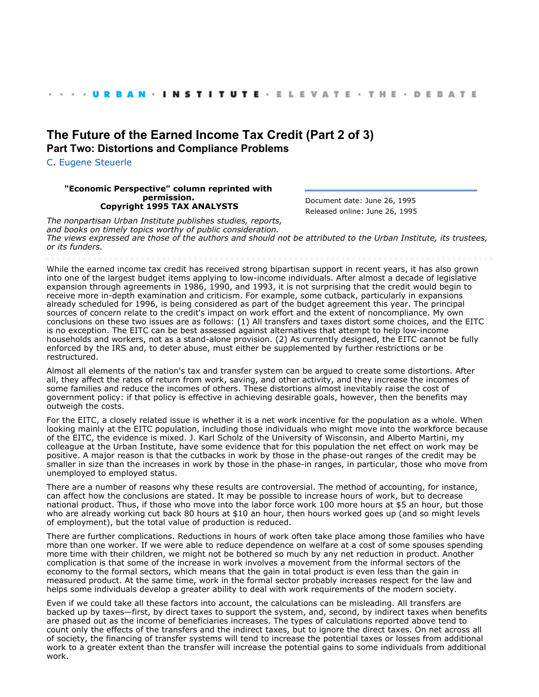## **[The Future of the Earned Income Tax Credit \(Part 2 of 3\)](http://webarchive.urban.org/index.cfm) Part Two: Distortions and Compliance Problems**

[C. Eugene Steuerle](http://www.urban.org/CEugeneSteuerle)

## **"Economic Perspective" column reprinted with permission. Copyright 1995 TAX ANALYSTS**

Document date: June 26, 1995 Released online: June 26, 1995

*The nonpartisan Urban Institute publishes studies, reports, and books on timely topics worthy of public consideration. The views expressed are those of the authors and should not be attributed to the Urban Institute, its trustees, or its funders.*

While the earned income tax credit has received strong bipartisan support in recent years, it has also grown into one of the largest budget items applying to low-income individuals. After almost a decade of legislative expansion through agreements in 1986, 1990, and 1993, it is not surprising that the credit would begin to receive more in-depth examination and criticism. For example, some cutback, particularly in expansions already scheduled for 1996, is being considered as part of the budget agreement this year. The principal sources of concern relate to the credit's impact on work effort and the extent of noncompliance. My own conclusions on these two issues are as follows: (1) All transfers and taxes distort some choices, and the EITC is no exception. The EITC can be best assessed against alternatives that attempt to help low-income households and workers, not as a stand-alone provision. (2) As currently designed, the EITC cannot be fully enforced by the IRS and, to deter abuse, must either be supplemented by further restrictions or be restructured.

Almost all elements of the nation's tax and transfer system can be argued to create some distortions. After all, they affect the rates of return from work, saving, and other activity, and they increase the incomes of some families and reduce the incomes of others. These distortions almost inevitably raise the cost of government policy: if that policy is effective in achieving desirable goals, however, then the benefits may outweigh the costs.

For the EITC, a closely related issue is whether it is a net work incentive for the population as a whole. When looking mainly at the EITC population, including those individuals who might move into the workforce because of the EITC, the evidence is mixed. J. Karl Scholz of the University of Wisconsin, and Alberto Martini, my colleague at the Urban Institute, have some evidence that for this population the net effect on work may be positive. A major reason is that the cutbacks in work by those in the phase-out ranges of the credit may be smaller in size than the increases in work by those in the phase-in ranges, in particular, those who move from unemployed to employed status.

There are a number of reasons why these results are controversial. The method of accounting, for instance, can affect how the conclusions are stated. It may be possible to increase hours of work, but to decrease national product. Thus, if those who move into the labor force work 100 more hours at \$5 an hour, but those who are already working cut back 80 hours at \$10 an hour, then hours worked goes up (and so might levels of employment), but the total value of production is reduced.

There are further complications. Reductions in hours of work often take place among those families who have more than one worker. If we were able to reduce dependence on welfare at a cost of some spouses spending more time with their children, we might not be bothered so much by any net reduction in product. Another complication is that some of the increase in work involves a movement from the informal sectors of the economy to the formal sectors, which means that the gain in total product is even less than the gain in measured product. At the same time, work in the formal sector probably increases respect for the law and helps some individuals develop a greater ability to deal with work requirements of the modern society.

Even if we could take all these factors into account, the calculations can be misleading. All transfers are backed up by taxes—first, by direct taxes to support the system, and, second, by indirect taxes when benefits are phased out as the income of beneficiaries increases. The types of calculations reported above tend to count only the effects of the transfers and the indirect taxes, but to ignore the direct taxes. On net across all of society, the financing of transfer systems will tend to increase the potential taxes or losses from additional work to a greater extent than the transfer will increase the potential gains to some individuals from additional work.